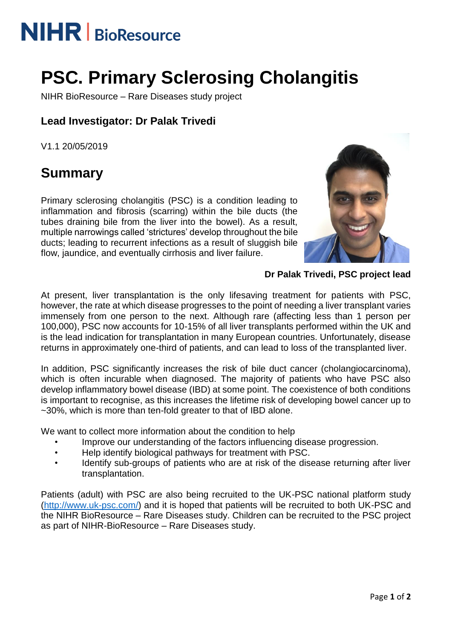# **NIHR** | BioResource

## **PSC. Primary Sclerosing Cholangitis**

NIHR BioResource – Rare Diseases study project

## **Lead Investigator: Dr Palak Trivedi**

V1.1 20/05/2019

## **Summary**

Primary sclerosing cholangitis (PSC) is a condition leading to inflammation and fibrosis (scarring) within the bile ducts (the tubes draining bile from the liver into the bowel). As a result, multiple narrowings called 'strictures' develop throughout the bile ducts; leading to recurrent infections as a result of sluggish bile flow, jaundice, and eventually cirrhosis and liver failure.



**Dr Palak Trivedi, PSC project lead**

At present, liver transplantation is the only lifesaving treatment for patients with PSC, however, the rate at which disease progresses to the point of needing a liver transplant varies immensely from one person to the next. Although rare (affecting less than 1 person per 100,000), PSC now accounts for 10-15% of all liver transplants performed within the UK and is the lead indication for transplantation in many European countries. Unfortunately, disease returns in approximately one-third of patients, and can lead to loss of the transplanted liver.

In addition, PSC significantly increases the risk of bile duct cancer (cholangiocarcinoma), which is often incurable when diagnosed. The majority of patients who have PSC also develop inflammatory bowel disease (IBD) at some point. The coexistence of both conditions is important to recognise, as this increases the lifetime risk of developing bowel cancer up to ~30%, which is more than ten-fold greater to that of IBD alone.

We want to collect more information about the condition to help

- Improve our understanding of the factors influencing disease progression.
- Help identify biological pathways for treatment with PSC.
- Identify sub-groups of patients who are at risk of the disease returning after liver transplantation.

Patients (adult) with PSC are also being recruited to the UK-PSC national platform study [\(http://www.uk-psc.com/\)](http://www.uk-psc.com/) and it is hoped that patients will be recruited to both UK-PSC and the NIHR BioResource – Rare Diseases study. Children can be recruited to the PSC project as part of NIHR-BioResource – Rare Diseases study.